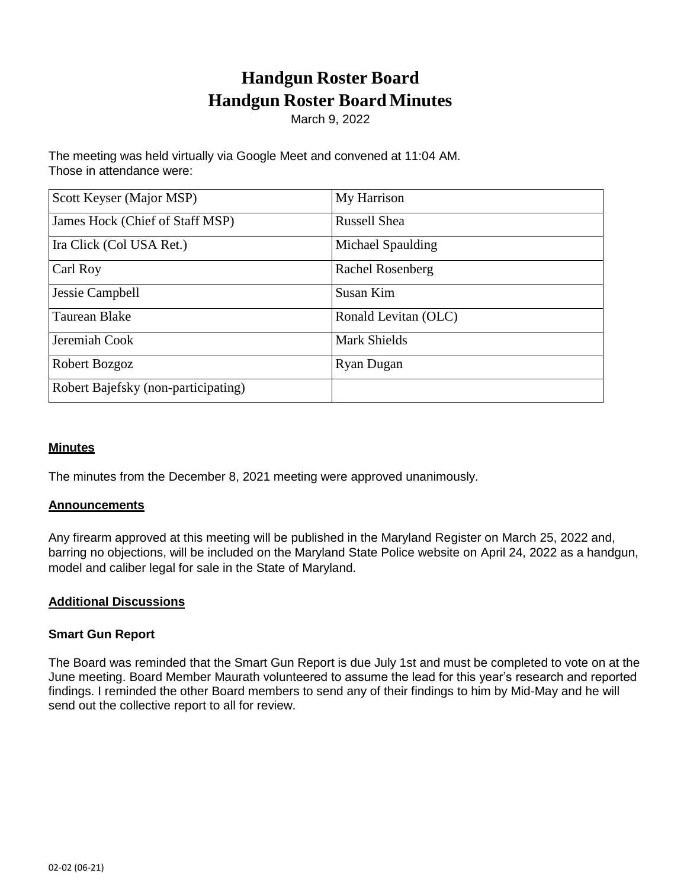# **Handgun Roster Board Handgun Roster Board Minutes**

March 9, 2022

The meeting was held virtually via Google Meet and convened at 11:04 AM. Those in attendance were:

| Scott Keyser (Major MSP)            | My Harrison          |
|-------------------------------------|----------------------|
| James Hock (Chief of Staff MSP)     | <b>Russell Shea</b>  |
| Ira Click (Col USA Ret.)            | Michael Spaulding    |
| Carl Roy                            | Rachel Rosenberg     |
| Jessie Campbell                     | Susan Kim            |
| Taurean Blake                       | Ronald Levitan (OLC) |
| Jeremiah Cook                       | <b>Mark Shields</b>  |
| Robert Bozgoz                       | Ryan Dugan           |
| Robert Bajefsky (non-participating) |                      |

## **Minutes**

The minutes from the December 8, 2021 meeting were approved unanimously.

#### **Announcements**

Any firearm approved at this meeting will be published in the Maryland Register on March 25, 2022 and, barring no objections, will be included on the Maryland State Police website on April 24, 2022 as a handgun, model and caliber legal for sale in the State of Maryland.

## **Additional Discussions**

#### **Smart Gun Report**

The Board was reminded that the Smart Gun Report is due July 1st and must be completed to vote on at the June meeting. Board Member Maurath volunteered to assume the lead for this year's research and reported findings. I reminded the other Board members to send any of their findings to him by Mid-May and he will send out the collective report to all for review.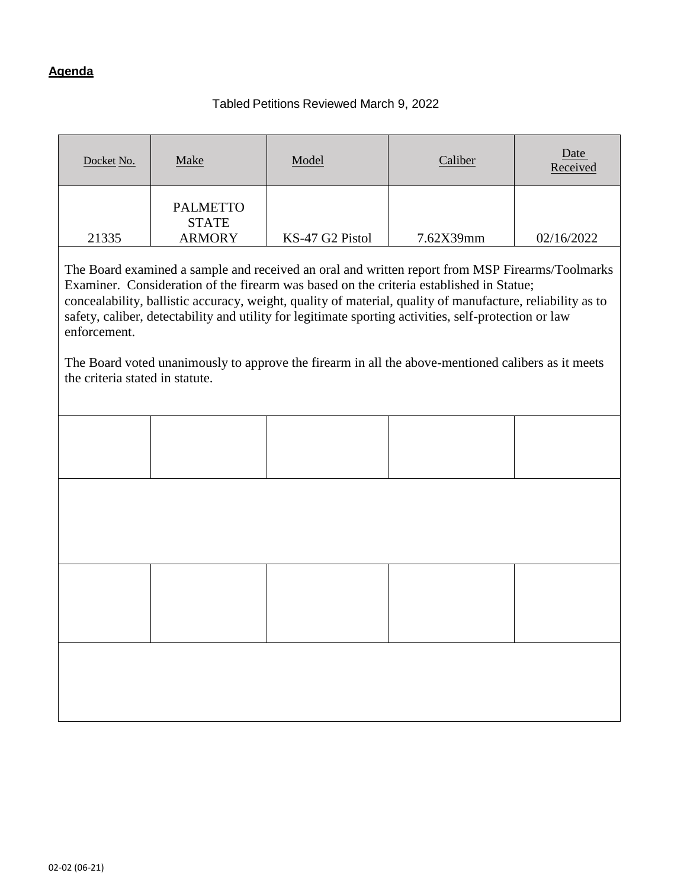# **Agenda**

# Tabled Petitions Reviewed March 9, 2022

| Docket No.                                                                                                                                                                                                                                                                                                                                                                                                                                                                                                                                                                                                                                         | Make                            | Model | Caliber | Date<br>Received |  |
|----------------------------------------------------------------------------------------------------------------------------------------------------------------------------------------------------------------------------------------------------------------------------------------------------------------------------------------------------------------------------------------------------------------------------------------------------------------------------------------------------------------------------------------------------------------------------------------------------------------------------------------------------|---------------------------------|-------|---------|------------------|--|
|                                                                                                                                                                                                                                                                                                                                                                                                                                                                                                                                                                                                                                                    | <b>PALMETTO</b><br><b>STATE</b> |       |         |                  |  |
| <b>ARMORY</b><br>21335<br>KS-47 G2 Pistol<br>7.62X39mm<br>02/16/2022<br>The Board examined a sample and received an oral and written report from MSP Firearms/Toolmarks<br>Examiner. Consideration of the firearm was based on the criteria established in Statue;<br>concealability, ballistic accuracy, weight, quality of material, quality of manufacture, reliability as to<br>safety, caliber, detectability and utility for legitimate sporting activities, self-protection or law<br>enforcement.<br>The Board voted unanimously to approve the firearm in all the above-mentioned calibers as it meets<br>the criteria stated in statute. |                                 |       |         |                  |  |
|                                                                                                                                                                                                                                                                                                                                                                                                                                                                                                                                                                                                                                                    |                                 |       |         |                  |  |
|                                                                                                                                                                                                                                                                                                                                                                                                                                                                                                                                                                                                                                                    |                                 |       |         |                  |  |
|                                                                                                                                                                                                                                                                                                                                                                                                                                                                                                                                                                                                                                                    |                                 |       |         |                  |  |
|                                                                                                                                                                                                                                                                                                                                                                                                                                                                                                                                                                                                                                                    |                                 |       |         |                  |  |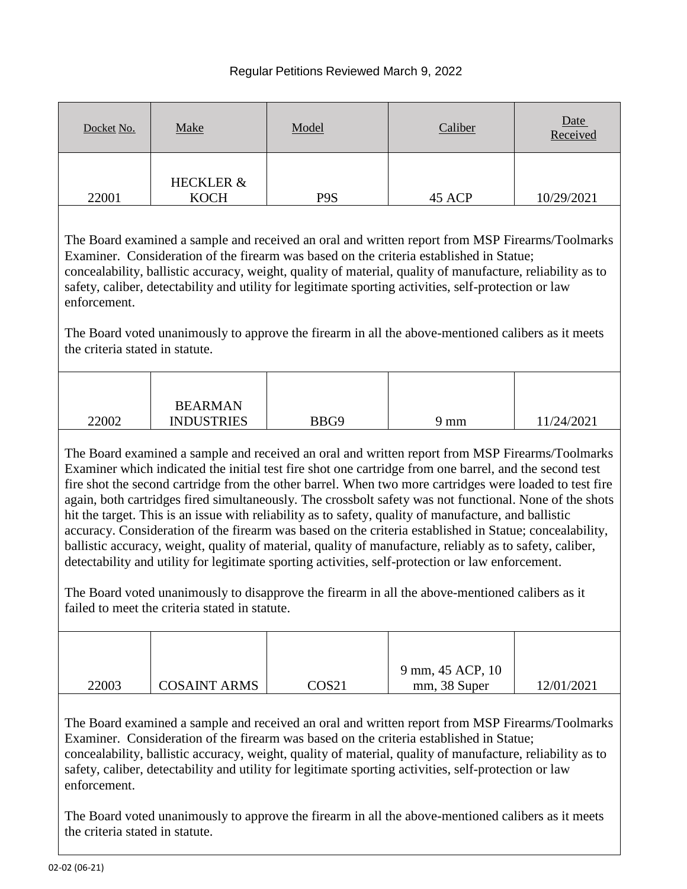# Regular Petitions Reviewed March 9, 2022

| Docket No.                                                                                                                                                                                                                                                                                                                                                                                                                                                                                                                                                                                                                                                                                                                                                                                                                                                                                                                                                                                                                | Make                                | Model            | Caliber                          | Date<br>Received |  |
|---------------------------------------------------------------------------------------------------------------------------------------------------------------------------------------------------------------------------------------------------------------------------------------------------------------------------------------------------------------------------------------------------------------------------------------------------------------------------------------------------------------------------------------------------------------------------------------------------------------------------------------------------------------------------------------------------------------------------------------------------------------------------------------------------------------------------------------------------------------------------------------------------------------------------------------------------------------------------------------------------------------------------|-------------------------------------|------------------|----------------------------------|------------------|--|
| 22001                                                                                                                                                                                                                                                                                                                                                                                                                                                                                                                                                                                                                                                                                                                                                                                                                                                                                                                                                                                                                     | <b>HECKLER &amp;</b><br><b>KOCH</b> | P <sub>9</sub> S | 45 ACP                           | 10/29/2021       |  |
| The Board examined a sample and received an oral and written report from MSP Firearms/Toolmarks<br>Examiner. Consideration of the firearm was based on the criteria established in Statue;<br>concealability, ballistic accuracy, weight, quality of material, quality of manufacture, reliability as to<br>safety, caliber, detectability and utility for legitimate sporting activities, self-protection or law<br>enforcement.<br>The Board voted unanimously to approve the firearm in all the above-mentioned calibers as it meets<br>the criteria stated in statute.                                                                                                                                                                                                                                                                                                                                                                                                                                                |                                     |                  |                                  |                  |  |
|                                                                                                                                                                                                                                                                                                                                                                                                                                                                                                                                                                                                                                                                                                                                                                                                                                                                                                                                                                                                                           |                                     |                  |                                  |                  |  |
| 22002                                                                                                                                                                                                                                                                                                                                                                                                                                                                                                                                                                                                                                                                                                                                                                                                                                                                                                                                                                                                                     | <b>BEARMAN</b><br><b>INDUSTRIES</b> | BBG9             | $9 \text{ mm}$                   | 11/24/2021       |  |
| The Board examined a sample and received an oral and written report from MSP Firearms/Toolmarks<br>Examiner which indicated the initial test fire shot one cartridge from one barrel, and the second test<br>fire shot the second cartridge from the other barrel. When two more cartridges were loaded to test fire<br>again, both cartridges fired simultaneously. The crossbolt safety was not functional. None of the shots<br>hit the target. This is an issue with reliability as to safety, quality of manufacture, and ballistic<br>accuracy. Consideration of the firearm was based on the criteria established in Statue; concealability,<br>ballistic accuracy, weight, quality of material, quality of manufacture, reliably as to safety, caliber,<br>detectability and utility for legitimate sporting activities, self-protection or law enforcement.<br>The Board voted unanimously to disapprove the firearm in all the above-mentioned calibers as it<br>failed to meet the criteria stated in statute. |                                     |                  |                                  |                  |  |
|                                                                                                                                                                                                                                                                                                                                                                                                                                                                                                                                                                                                                                                                                                                                                                                                                                                                                                                                                                                                                           |                                     |                  |                                  |                  |  |
| 22003                                                                                                                                                                                                                                                                                                                                                                                                                                                                                                                                                                                                                                                                                                                                                                                                                                                                                                                                                                                                                     | <b>COSAINT ARMS</b>                 | COS21            | 9 mm, 45 ACP, 10<br>mm, 38 Super | 12/01/2021       |  |

The Board examined a sample and received an oral and written report from MSP Firearms/Toolmarks Examiner. Consideration of the firearm was based on the criteria established in Statue; concealability, ballistic accuracy, weight, quality of material, quality of manufacture, reliability as to safety, caliber, detectability and utility for legitimate sporting activities, self-protection or law enforcement.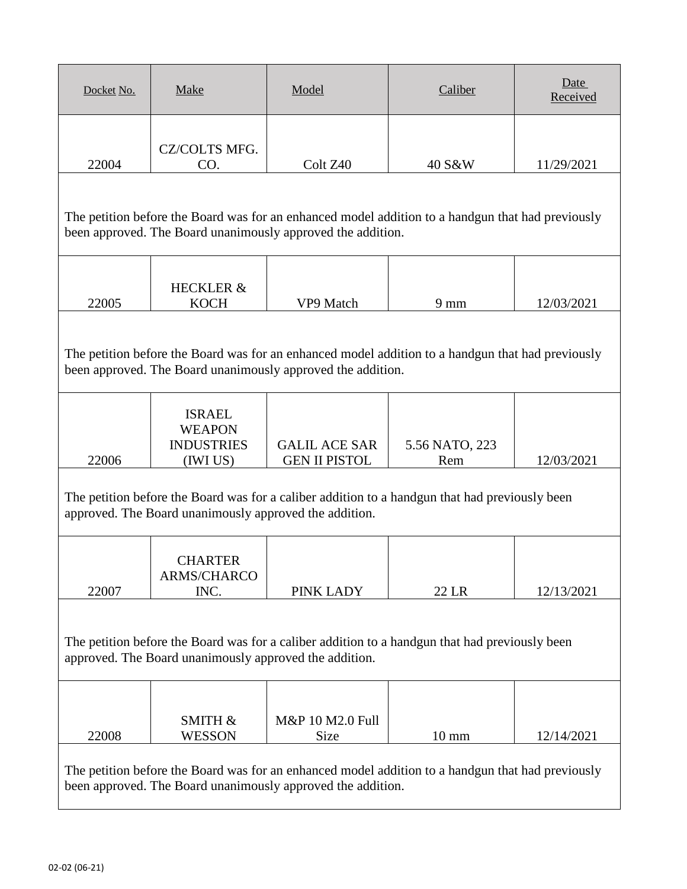| Docket No.                                                                                                                                                       | <b>Make</b>                                                                                                                                                      | Model                                                       | Caliber                                                                                           | Date<br>Received |  |
|------------------------------------------------------------------------------------------------------------------------------------------------------------------|------------------------------------------------------------------------------------------------------------------------------------------------------------------|-------------------------------------------------------------|---------------------------------------------------------------------------------------------------|------------------|--|
| 22004                                                                                                                                                            | CZ/COLTS MFG.<br>CO.                                                                                                                                             | Colt Z <sub>40</sub>                                        | 40 S&W                                                                                            | 11/29/2021       |  |
| The petition before the Board was for an enhanced model addition to a handgun that had previously<br>been approved. The Board unanimously approved the addition. |                                                                                                                                                                  |                                                             |                                                                                                   |                  |  |
| 22005                                                                                                                                                            | <b>HECKLER &amp;</b><br><b>KOCH</b>                                                                                                                              | VP9 Match                                                   | $9 \text{ mm}$                                                                                    | 12/03/2021       |  |
|                                                                                                                                                                  |                                                                                                                                                                  | been approved. The Board unanimously approved the addition. | The petition before the Board was for an enhanced model addition to a handgun that had previously |                  |  |
| 22006                                                                                                                                                            | <b>ISRAEL</b><br><b>WEAPON</b><br><b>INDUSTRIES</b><br>(IWI US)                                                                                                  | <b>GALIL ACE SAR</b><br><b>GEN II PISTOL</b>                | 5.56 NATO, 223<br>Rem                                                                             | 12/03/2021       |  |
|                                                                                                                                                                  | approved. The Board unanimously approved the addition.                                                                                                           |                                                             | The petition before the Board was for a caliber addition to a handgun that had previously been    |                  |  |
| 22007                                                                                                                                                            | <b>CHARTER</b><br>ARMS/CHARCO<br>INC.                                                                                                                            | PINK LADY                                                   | 22 LR                                                                                             | 12/13/2021       |  |
| The petition before the Board was for a caliber addition to a handgun that had previously been<br>approved. The Board unanimously approved the addition.         |                                                                                                                                                                  |                                                             |                                                                                                   |                  |  |
| 22008                                                                                                                                                            | SMITH &<br><b>WESSON</b>                                                                                                                                         | M&P 10 M2.0 Full<br><b>Size</b>                             | $10 \text{ mm}$                                                                                   | 12/14/2021       |  |
|                                                                                                                                                                  | The petition before the Board was for an enhanced model addition to a handgun that had previously<br>been approved. The Board unanimously approved the addition. |                                                             |                                                                                                   |                  |  |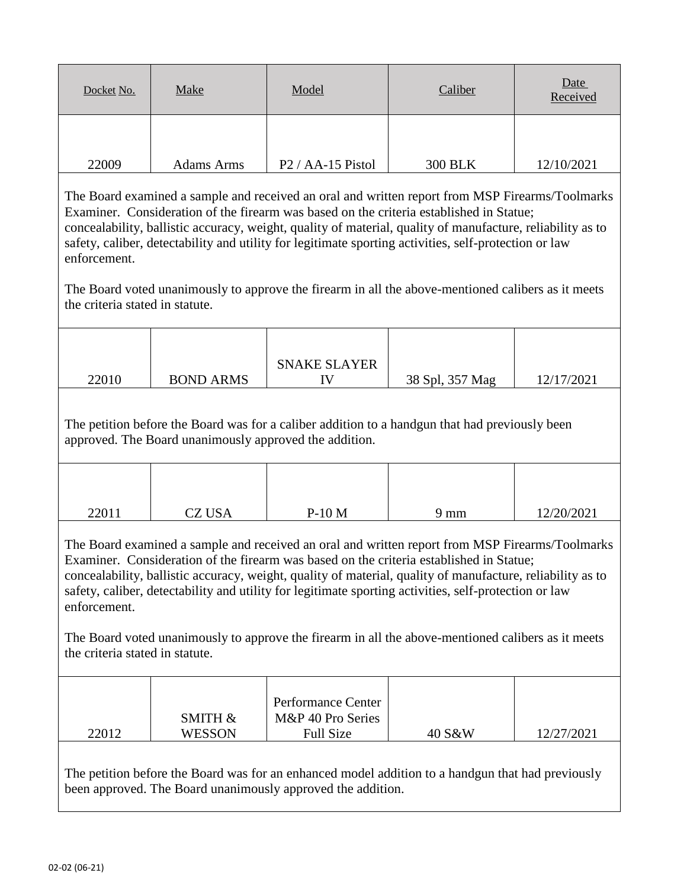| Docket No. | <b>Make</b>       | Model                                      | Caliber        | Date<br>Received |
|------------|-------------------|--------------------------------------------|----------------|------------------|
| 22009      | <b>Adams Arms</b> | P <sub>2</sub> / A <sub>A</sub> -15 Pistol | <b>300 BLK</b> | 12/10/2021       |

The Board voted unanimously to approve the firearm in all the above-mentioned calibers as it meets the criteria stated in statute.

|       |                  | <b>SNAKE SLAYER</b> |                 |            |
|-------|------------------|---------------------|-----------------|------------|
| 22010 | <b>BOND ARMS</b> |                     | 38 Spl, 357 Mag | 12/17/2021 |
|       |                  |                     |                 |            |

The petition before the Board was for a caliber addition to a handgun that had previously been approved. The Board unanimously approved the addition.

| 22011 | <b>CZ USA</b> | $P-10M$ | 9 mm | 12/20/2021 |
|-------|---------------|---------|------|------------|

The Board examined a sample and received an oral and written report from MSP Firearms/Toolmarks Examiner. Consideration of the firearm was based on the criteria established in Statue; concealability, ballistic accuracy, weight, quality of material, quality of manufacture, reliability as to safety, caliber, detectability and utility for legitimate sporting activities, self-protection or law enforcement.

The Board voted unanimously to approve the firearm in all the above-mentioned calibers as it meets the criteria stated in statute.

|       | <b>SMITH &amp;</b> | Performance Center<br>M&P 40 Pro Series |        |            |
|-------|--------------------|-----------------------------------------|--------|------------|
| 22012 | <b>WESSON</b>      | <b>Full Size</b>                        | 40 S&W | 12/27/2021 |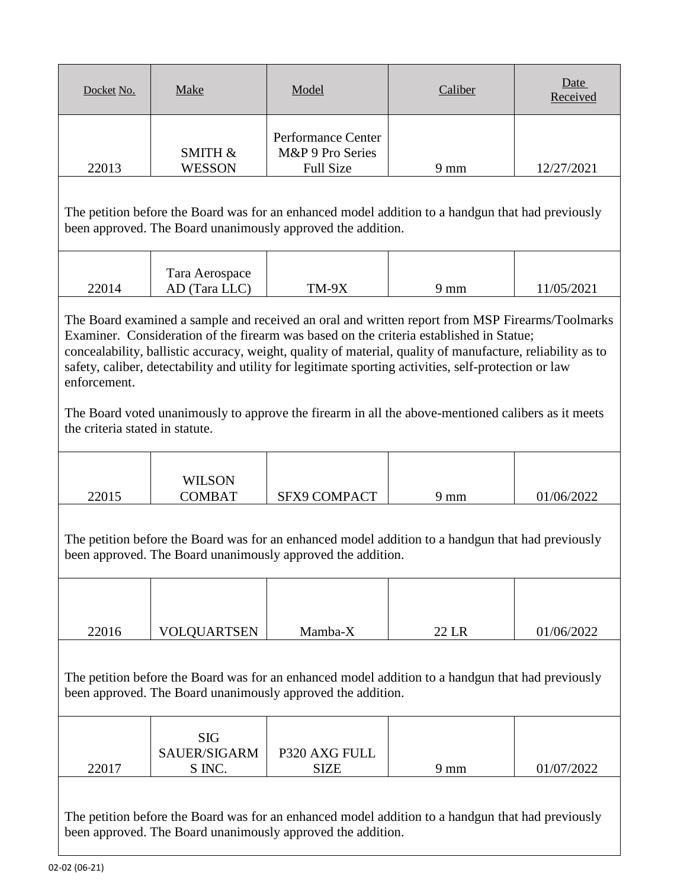| Docket No.                                                                                                                                                                                                                                                                                                                                                                                                                        | Make                                                                                                                                                             | Model                                                      | Caliber        | Date<br>Received |  |
|-----------------------------------------------------------------------------------------------------------------------------------------------------------------------------------------------------------------------------------------------------------------------------------------------------------------------------------------------------------------------------------------------------------------------------------|------------------------------------------------------------------------------------------------------------------------------------------------------------------|------------------------------------------------------------|----------------|------------------|--|
| 22013                                                                                                                                                                                                                                                                                                                                                                                                                             | <b>SMITH &amp;</b><br><b>WESSON</b>                                                                                                                              | Performance Center<br>M&P 9 Pro Series<br><b>Full Size</b> | 9 mm           | 12/27/2021       |  |
|                                                                                                                                                                                                                                                                                                                                                                                                                                   | The petition before the Board was for an enhanced model addition to a handgun that had previously<br>been approved. The Board unanimously approved the addition. |                                                            |                |                  |  |
| 22014                                                                                                                                                                                                                                                                                                                                                                                                                             | Tara Aerospace<br>AD (Tara LLC)                                                                                                                                  | $TM-9X$                                                    | $9 \text{ mm}$ | 11/05/2021       |  |
| The Board examined a sample and received an oral and written report from MSP Firearms/Toolmarks<br>Examiner. Consideration of the firearm was based on the criteria established in Statue;<br>concealability, ballistic accuracy, weight, quality of material, quality of manufacture, reliability as to<br>safety, caliber, detectability and utility for legitimate sporting activities, self-protection or law<br>enforcement. |                                                                                                                                                                  |                                                            |                |                  |  |

The Board voted unanimously to approve the firearm in all the above-mentioned calibers as it meets the criteria stated in statute.

|       | <b>WILSON</b> |                     |    |            |
|-------|---------------|---------------------|----|------------|
| 22015 | COMBAT        | <b>SFX9 COMPACT</b> | mm | 01/06/2022 |

The petition before the Board was for an enhanced model addition to a handgun that had previously been approved. The Board unanimously approved the addition.

| 22016                                                                                                                                                            | VOLQUARTSEN         | Mamba-X       | 22 LR          | 01/06/2022 |
|------------------------------------------------------------------------------------------------------------------------------------------------------------------|---------------------|---------------|----------------|------------|
| The petition before the Board was for an enhanced model addition to a handgun that had previously<br>been approved. The Board unanimously approved the addition. |                     |               |                |            |
|                                                                                                                                                                  | <b>SIG</b>          |               |                |            |
|                                                                                                                                                                  | <b>SAUER/SIGARM</b> | P320 AXG FULL |                |            |
| 22017                                                                                                                                                            | S INC.              | <b>SIZE</b>   | $9 \text{ mm}$ | 01/07/2022 |
|                                                                                                                                                                  |                     |               |                |            |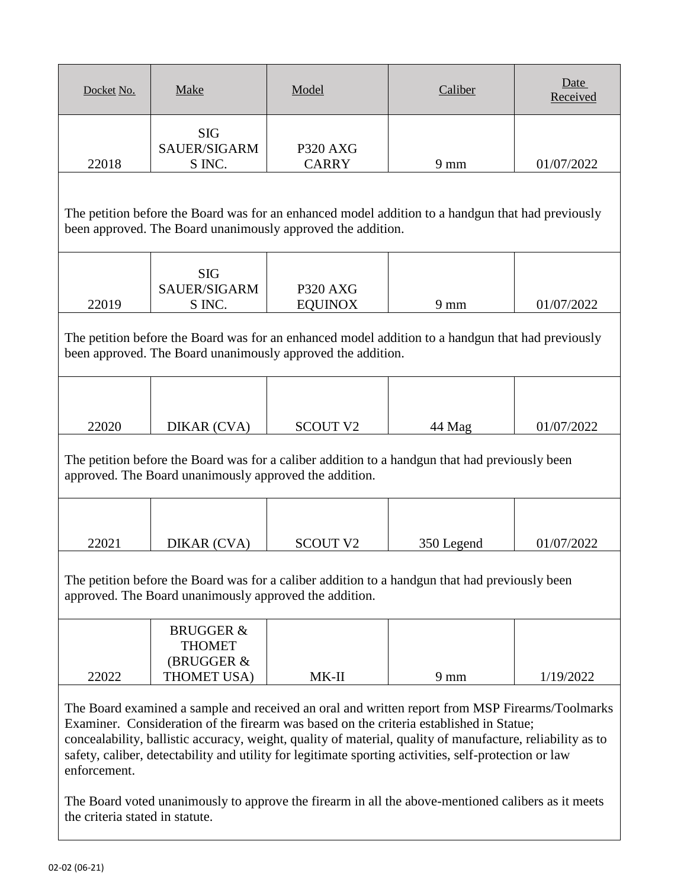| Docket No.                                                                                                                                                                                                                                                                                                                                                                                                                                                                                                                              | Make                                                               | Model                             | Caliber                                                                                        | Date<br>Received |
|-----------------------------------------------------------------------------------------------------------------------------------------------------------------------------------------------------------------------------------------------------------------------------------------------------------------------------------------------------------------------------------------------------------------------------------------------------------------------------------------------------------------------------------------|--------------------------------------------------------------------|-----------------------------------|------------------------------------------------------------------------------------------------|------------------|
| 22018                                                                                                                                                                                                                                                                                                                                                                                                                                                                                                                                   | <b>SIG</b><br>SAUER/SIGARM<br>S INC.                               | <b>P320 AXG</b><br><b>CARRY</b>   | $9 \text{ mm}$                                                                                 | 01/07/2022       |
| The petition before the Board was for an enhanced model addition to a handgun that had previously<br>been approved. The Board unanimously approved the addition.                                                                                                                                                                                                                                                                                                                                                                        |                                                                    |                                   |                                                                                                |                  |
| 22019                                                                                                                                                                                                                                                                                                                                                                                                                                                                                                                                   | <b>SIG</b><br>SAUER/SIGARM<br>S INC.                               | <b>P320 AXG</b><br><b>EQUINOX</b> | $9 \text{ mm}$                                                                                 | 01/07/2022       |
| The petition before the Board was for an enhanced model addition to a handgun that had previously<br>been approved. The Board unanimously approved the addition.                                                                                                                                                                                                                                                                                                                                                                        |                                                                    |                                   |                                                                                                |                  |
| 22020                                                                                                                                                                                                                                                                                                                                                                                                                                                                                                                                   | DIKAR (CVA)                                                        | <b>SCOUT V2</b>                   | 44 Mag                                                                                         | 01/07/2022       |
|                                                                                                                                                                                                                                                                                                                                                                                                                                                                                                                                         | approved. The Board unanimously approved the addition.             |                                   | The petition before the Board was for a caliber addition to a handgun that had previously been |                  |
| 22021                                                                                                                                                                                                                                                                                                                                                                                                                                                                                                                                   | DIKAR (CVA)                                                        | <b>SCOUT V2</b>                   | 350 Legend                                                                                     | 01/07/2022       |
|                                                                                                                                                                                                                                                                                                                                                                                                                                                                                                                                         | approved. The Board unanimously approved the addition.             |                                   | The petition before the Board was for a caliber addition to a handgun that had previously been |                  |
| 22022                                                                                                                                                                                                                                                                                                                                                                                                                                                                                                                                   | <b>BRUGGER &amp;</b><br><b>THOMET</b><br>(BRUGGER &<br>THOMET USA) | $MK-II$                           | $9 \text{ mm}$                                                                                 | 1/19/2022        |
| The Board examined a sample and received an oral and written report from MSP Firearms/Toolmarks<br>Examiner. Consideration of the firearm was based on the criteria established in Statue;<br>concealability, ballistic accuracy, weight, quality of material, quality of manufacture, reliability as to<br>safety, caliber, detectability and utility for legitimate sporting activities, self-protection or law<br>enforcement.<br>The Roard voted unanimously to approve the firearm in all the above mentioned calibers as it meets |                                                                    |                                   |                                                                                                |                  |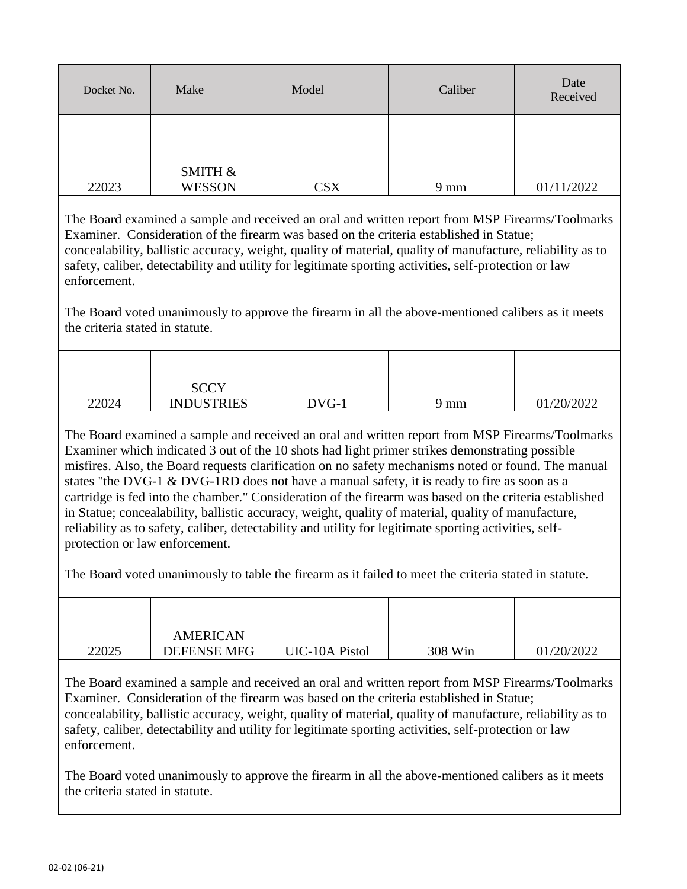| Docket No. | Make          | Model      | Caliber        | Date<br>Received |
|------------|---------------|------------|----------------|------------------|
|            | SMITH &       |            |                |                  |
| 22023      | <b>WESSON</b> | <b>CSX</b> | $9 \text{ mm}$ | 01/11/2022       |

The Board voted unanimously to approve the firearm in all the above-mentioned calibers as it meets the criteria stated in statute.

| 22024 | <b>SCCY</b><br><b>INDUSTRIES</b> | DVG-1 | 9 mm | 01/20/2022 |
|-------|----------------------------------|-------|------|------------|

The Board examined a sample and received an oral and written report from MSP Firearms/Toolmarks Examiner which indicated 3 out of the 10 shots had light primer strikes demonstrating possible misfires. Also, the Board requests clarification on no safety mechanisms noted or found. The manual states "the DVG-1 & DVG-1RD does not have a manual safety, it is ready to fire as soon as a cartridge is fed into the chamber." Consideration of the firearm was based on the criteria established in Statue; concealability, ballistic accuracy, weight, quality of material, quality of manufacture, reliability as to safety, caliber, detectability and utility for legitimate sporting activities, selfprotection or law enforcement.

The Board voted unanimously to table the firearm as it failed to meet the criteria stated in statute.

| <b>DEFENSE MFG</b> | UIC-10A Pistol  | 308 Win | 01/20/2022 |
|--------------------|-----------------|---------|------------|
|                    | <b>AMERICAN</b> |         |            |

The Board examined a sample and received an oral and written report from MSP Firearms/Toolmarks Examiner. Consideration of the firearm was based on the criteria established in Statue; concealability, ballistic accuracy, weight, quality of material, quality of manufacture, reliability as to safety, caliber, detectability and utility for legitimate sporting activities, self-protection or law enforcement.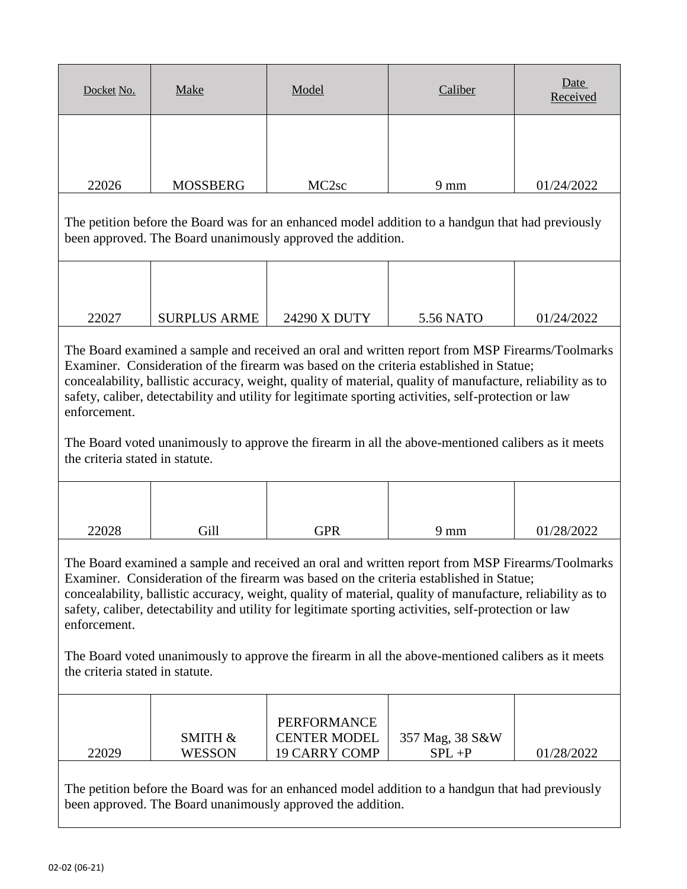| Docket No. | Make            | Model             | Caliber        | Date<br>Received |
|------------|-----------------|-------------------|----------------|------------------|
|            |                 |                   |                |                  |
| 22026      | <b>MOSSBERG</b> | MC <sub>2sc</sub> | $9 \text{ mm}$ | 01/24/2022       |

The petition before the Board was for an enhanced model addition to a handgun that had previously been approved. The Board unanimously approved the addition.

| 22027 | <b>SURPLUS ARME</b> | 24290 X DUTY | 5.56 NATO | 01/24/2022 |
|-------|---------------------|--------------|-----------|------------|

The Board examined a sample and received an oral and written report from MSP Firearms/Toolmarks Examiner. Consideration of the firearm was based on the criteria established in Statue; concealability, ballistic accuracy, weight, quality of material, quality of manufacture, reliability as to safety, caliber, detectability and utility for legitimate sporting activities, self-protection or law enforcement.

The Board voted unanimously to approve the firearm in all the above-mentioned calibers as it meets the criteria stated in statute.

| 22028 | Gill | GPR | $9 \text{ mm}$ | 01/28/2022 |
|-------|------|-----|----------------|------------|

The Board examined a sample and received an oral and written report from MSP Firearms/Toolmarks Examiner. Consideration of the firearm was based on the criteria established in Statue; concealability, ballistic accuracy, weight, quality of material, quality of manufacture, reliability as to safety, caliber, detectability and utility for legitimate sporting activities, self-protection or law enforcement.

The Board voted unanimously to approve the firearm in all the above-mentioned calibers as it meets the criteria stated in statute.

|       |               | PERFORMANCE         |                 |            |
|-------|---------------|---------------------|-----------------|------------|
|       | SMITH &       | <b>CENTER MODEL</b> | 357 Mag, 38 S&W |            |
| 22029 | <b>WESSON</b> | 19 CARRY COMP       | $SPL + P$       | 01/28/2022 |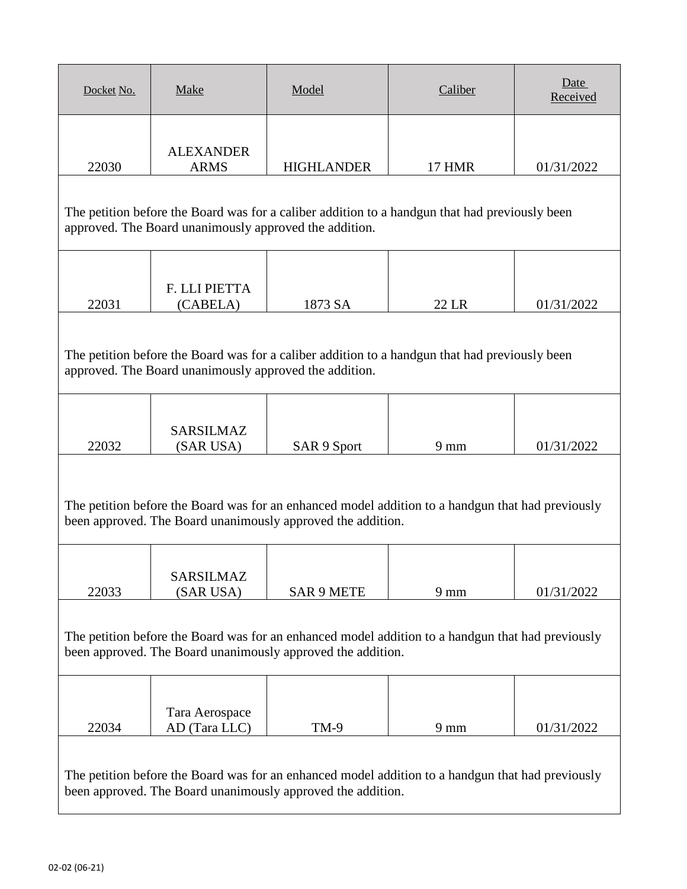| Docket No.                                                                                                                                                       | <b>Make</b>                                                                                                                                                      | Model                                                       | Caliber                                                                                           | Date<br>Received |  |
|------------------------------------------------------------------------------------------------------------------------------------------------------------------|------------------------------------------------------------------------------------------------------------------------------------------------------------------|-------------------------------------------------------------|---------------------------------------------------------------------------------------------------|------------------|--|
| 22030                                                                                                                                                            | <b>ALEXANDER</b><br><b>ARMS</b>                                                                                                                                  | <b>HIGHLANDER</b>                                           | <b>17 HMR</b>                                                                                     | 01/31/2022       |  |
|                                                                                                                                                                  | approved. The Board unanimously approved the addition.                                                                                                           |                                                             | The petition before the Board was for a caliber addition to a handgun that had previously been    |                  |  |
| 22031                                                                                                                                                            | F. LLI PIETTA<br>(CABELA)                                                                                                                                        | 1873 SA                                                     | 22 LR                                                                                             | 01/31/2022       |  |
| The petition before the Board was for a caliber addition to a handgun that had previously been<br>approved. The Board unanimously approved the addition.         |                                                                                                                                                                  |                                                             |                                                                                                   |                  |  |
| 22032                                                                                                                                                            | <b>SARSILMAZ</b><br>(SAR USA)                                                                                                                                    | SAR 9 Sport                                                 | $9 \text{ mm}$                                                                                    | 01/31/2022       |  |
|                                                                                                                                                                  |                                                                                                                                                                  | been approved. The Board unanimously approved the addition. | The petition before the Board was for an enhanced model addition to a handgun that had previously |                  |  |
| 22033                                                                                                                                                            | <b>SARSILMAZ</b><br>(SAR USA)                                                                                                                                    | <b>SAR 9 METE</b>                                           | $9 \text{ mm}$                                                                                    | 01/31/2022       |  |
| The petition before the Board was for an enhanced model addition to a handgun that had previously<br>been approved. The Board unanimously approved the addition. |                                                                                                                                                                  |                                                             |                                                                                                   |                  |  |
| 22034                                                                                                                                                            | Tara Aerospace<br>AD (Tara LLC)                                                                                                                                  | <b>TM-9</b>                                                 | $9 \text{ mm}$                                                                                    | 01/31/2022       |  |
|                                                                                                                                                                  | The petition before the Board was for an enhanced model addition to a handgun that had previously<br>been approved. The Board unanimously approved the addition. |                                                             |                                                                                                   |                  |  |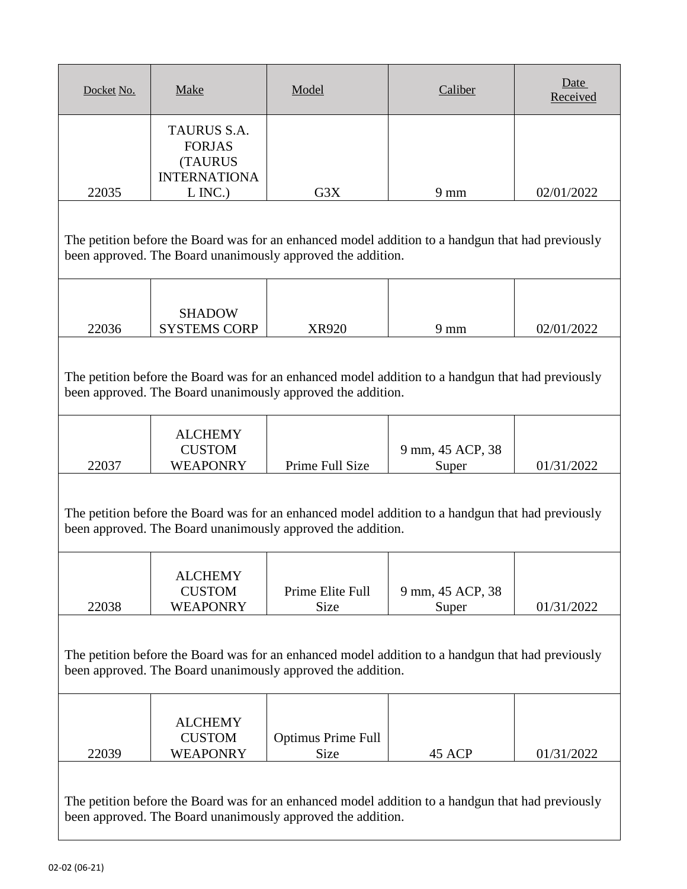| Docket No.                                                                                                                                                       | Make                                                                                                                                                             | Model                                                       | Caliber                                                                                           | Date<br>Received |  |
|------------------------------------------------------------------------------------------------------------------------------------------------------------------|------------------------------------------------------------------------------------------------------------------------------------------------------------------|-------------------------------------------------------------|---------------------------------------------------------------------------------------------------|------------------|--|
| 22035                                                                                                                                                            | TAURUS S.A.<br><b>FORJAS</b><br><b>(TAURUS</b><br><b>INTERNATIONA</b><br>$L$ INC.)                                                                               | G3X                                                         | $9 \text{ mm}$                                                                                    | 02/01/2022       |  |
|                                                                                                                                                                  |                                                                                                                                                                  |                                                             |                                                                                                   |                  |  |
| The petition before the Board was for an enhanced model addition to a handgun that had previously<br>been approved. The Board unanimously approved the addition. |                                                                                                                                                                  |                                                             |                                                                                                   |                  |  |
|                                                                                                                                                                  |                                                                                                                                                                  |                                                             |                                                                                                   |                  |  |
| 22036                                                                                                                                                            | <b>SHADOW</b><br><b>SYSTEMS CORP</b>                                                                                                                             | <b>XR920</b>                                                | $9 \text{ mm}$                                                                                    | 02/01/2022       |  |
| The petition before the Board was for an enhanced model addition to a handgun that had previously<br>been approved. The Board unanimously approved the addition. |                                                                                                                                                                  |                                                             |                                                                                                   |                  |  |
|                                                                                                                                                                  | <b>ALCHEMY</b><br><b>CUSTOM</b>                                                                                                                                  |                                                             | 9 mm, 45 ACP, 38                                                                                  |                  |  |
| 22037                                                                                                                                                            | WEAPONRY                                                                                                                                                         | Prime Full Size                                             | Super                                                                                             | 01/31/2022       |  |
|                                                                                                                                                                  |                                                                                                                                                                  | been approved. The Board unanimously approved the addition. | The petition before the Board was for an enhanced model addition to a handgun that had previously |                  |  |
| 22038                                                                                                                                                            | <b>ALCHEMY</b><br><b>CUSTOM</b><br><b>WEAPONRY</b>                                                                                                               | Prime Elite Full<br>Size                                    | 9 mm, 45 ACP, 38<br>Super                                                                         | 01/31/2022       |  |
| The petition before the Board was for an enhanced model addition to a handgun that had previously<br>been approved. The Board unanimously approved the addition. |                                                                                                                                                                  |                                                             |                                                                                                   |                  |  |
| 22039                                                                                                                                                            | <b>ALCHEMY</b><br><b>CUSTOM</b><br><b>WEAPONRY</b>                                                                                                               | <b>Optimus Prime Full</b><br>Size                           | 45 ACP                                                                                            | 01/31/2022       |  |
|                                                                                                                                                                  | The petition before the Board was for an enhanced model addition to a handgun that had previously<br>been approved. The Board unanimously approved the addition. |                                                             |                                                                                                   |                  |  |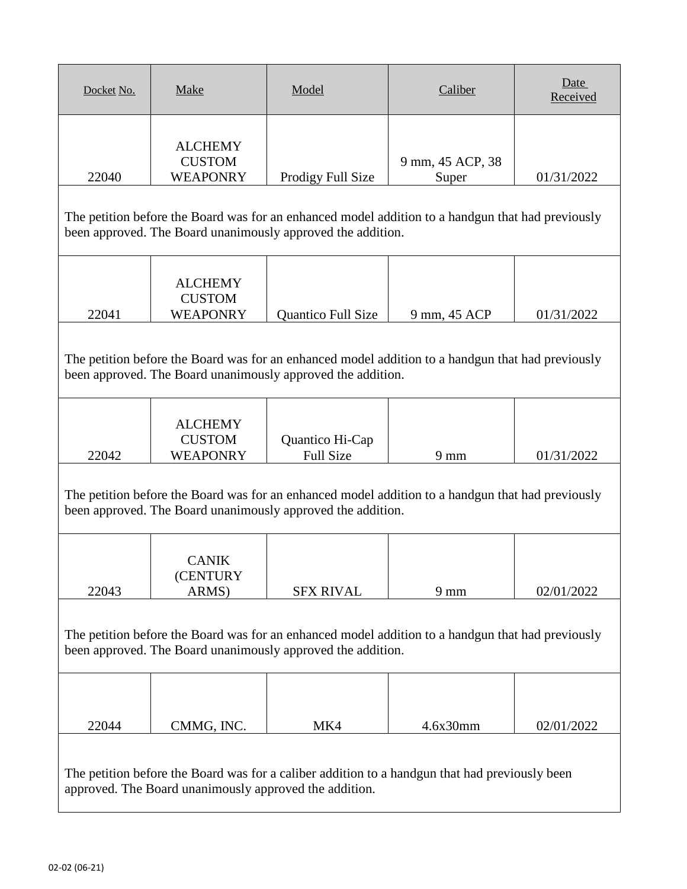| Docket No.                                                                                                                                                       | <b>Make</b>                                                                                                                                                      | Model                                                       | Caliber                                                                                           | Date<br>Received |  |  |
|------------------------------------------------------------------------------------------------------------------------------------------------------------------|------------------------------------------------------------------------------------------------------------------------------------------------------------------|-------------------------------------------------------------|---------------------------------------------------------------------------------------------------|------------------|--|--|
| 22040                                                                                                                                                            | <b>ALCHEMY</b><br><b>CUSTOM</b><br><b>WEAPONRY</b>                                                                                                               | Prodigy Full Size                                           | 9 mm, 45 ACP, 38<br>Super                                                                         | 01/31/2022       |  |  |
|                                                                                                                                                                  | The petition before the Board was for an enhanced model addition to a handgun that had previously<br>been approved. The Board unanimously approved the addition. |                                                             |                                                                                                   |                  |  |  |
| 22041                                                                                                                                                            | <b>ALCHEMY</b><br><b>CUSTOM</b><br><b>WEAPONRY</b>                                                                                                               | <b>Quantico Full Size</b>                                   | 9 mm, 45 ACP                                                                                      | 01/31/2022       |  |  |
|                                                                                                                                                                  | The petition before the Board was for an enhanced model addition to a handgun that had previously<br>been approved. The Board unanimously approved the addition. |                                                             |                                                                                                   |                  |  |  |
| 22042                                                                                                                                                            | <b>ALCHEMY</b><br><b>CUSTOM</b><br><b>WEAPONRY</b>                                                                                                               | Quantico Hi-Cap<br><b>Full Size</b>                         | $9 \text{ mm}$                                                                                    | 01/31/2022       |  |  |
|                                                                                                                                                                  |                                                                                                                                                                  | been approved. The Board unanimously approved the addition. | The petition before the Board was for an enhanced model addition to a handgun that had previously |                  |  |  |
| 22043                                                                                                                                                            | <b>CANIK</b><br>(CENTURY<br>ARMS)                                                                                                                                | <b>SFX RIVAL</b>                                            | $9 \text{ mm}$                                                                                    | 02/01/2022       |  |  |
| The petition before the Board was for an enhanced model addition to a handgun that had previously<br>been approved. The Board unanimously approved the addition. |                                                                                                                                                                  |                                                             |                                                                                                   |                  |  |  |
| 22044                                                                                                                                                            | CMMG, INC.                                                                                                                                                       | MK4                                                         | 4.6x30mm                                                                                          | 02/01/2022       |  |  |
|                                                                                                                                                                  | approved. The Board unanimously approved the addition.                                                                                                           |                                                             | The petition before the Board was for a caliber addition to a handgun that had previously been    |                  |  |  |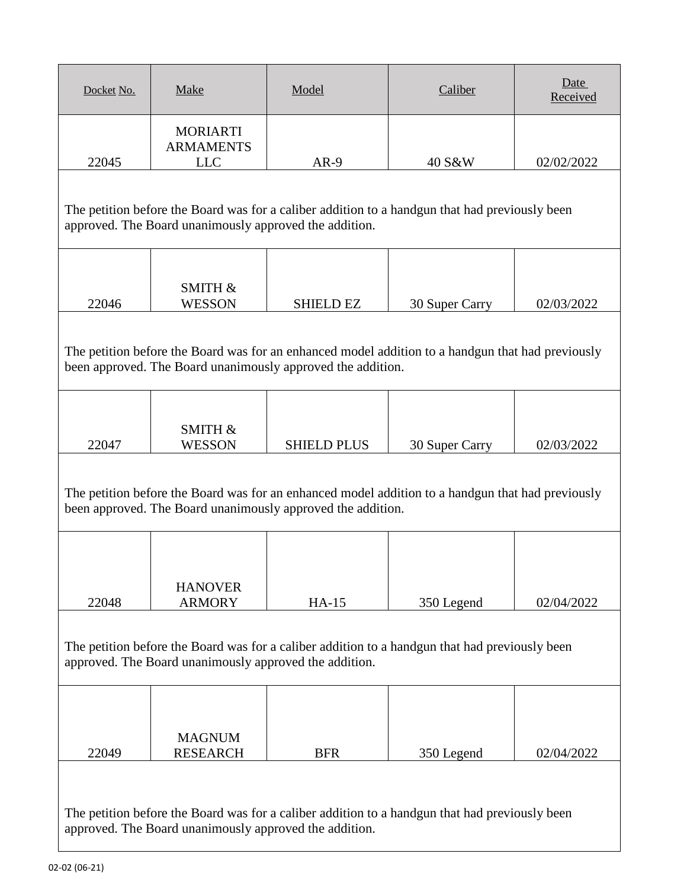| Docket No.                                                                                                                                                                                                                     | <b>Make</b>                                                                                                                                              | Model                                                       | Caliber                                                                                           | Date<br>Received |  |  |
|--------------------------------------------------------------------------------------------------------------------------------------------------------------------------------------------------------------------------------|----------------------------------------------------------------------------------------------------------------------------------------------------------|-------------------------------------------------------------|---------------------------------------------------------------------------------------------------|------------------|--|--|
| 22045                                                                                                                                                                                                                          | <b>MORIARTI</b><br><b>ARMAMENTS</b><br><b>LLC</b>                                                                                                        | $AR-9$                                                      | 40 S&W                                                                                            | 02/02/2022       |  |  |
|                                                                                                                                                                                                                                | The petition before the Board was for a caliber addition to a handgun that had previously been<br>approved. The Board unanimously approved the addition. |                                                             |                                                                                                   |                  |  |  |
| 22046                                                                                                                                                                                                                          | SMITH &<br><b>WESSON</b>                                                                                                                                 | <b>SHIELD EZ</b>                                            | 30 Super Carry                                                                                    | 02/03/2022       |  |  |
| The petition before the Board was for an enhanced model addition to a handgun that had previously<br>been approved. The Board unanimously approved the addition.                                                               |                                                                                                                                                          |                                                             |                                                                                                   |                  |  |  |
| 22047                                                                                                                                                                                                                          | SMITH &<br><b>WESSON</b>                                                                                                                                 | <b>SHIELD PLUS</b>                                          | 30 Super Carry                                                                                    | 02/03/2022       |  |  |
|                                                                                                                                                                                                                                |                                                                                                                                                          | been approved. The Board unanimously approved the addition. | The petition before the Board was for an enhanced model addition to a handgun that had previously |                  |  |  |
|                                                                                                                                                                                                                                | <b>HANOVER</b>                                                                                                                                           |                                                             |                                                                                                   |                  |  |  |
| <b>ARMORY</b><br>$HA-15$<br>350 Legend<br>22048<br>02/04/2022<br>The petition before the Board was for a caliber addition to a handgun that had previously been<br>approved. The Board unanimously approved the addition.      |                                                                                                                                                          |                                                             |                                                                                                   |                  |  |  |
|                                                                                                                                                                                                                                | <b>MAGNUM</b>                                                                                                                                            |                                                             |                                                                                                   |                  |  |  |
| <b>RESEARCH</b><br>22049<br><b>BFR</b><br>350 Legend<br>02/04/2022<br>The petition before the Board was for a caliber addition to a handgun that had previously been<br>approved. The Board unanimously approved the addition. |                                                                                                                                                          |                                                             |                                                                                                   |                  |  |  |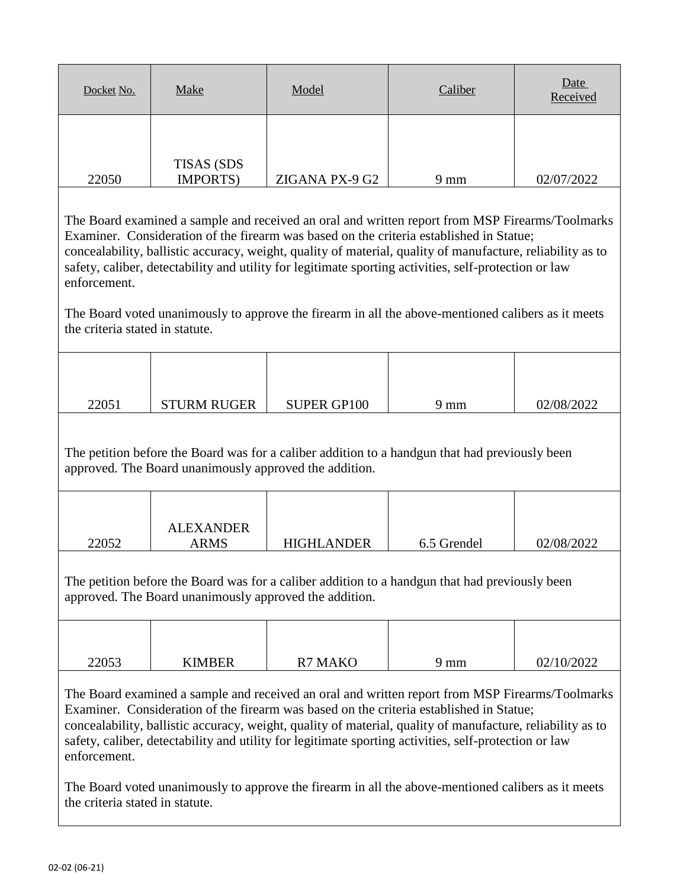| Docket No. | Make                           | Model          | Caliber        | Date<br>Received |
|------------|--------------------------------|----------------|----------------|------------------|
| 22050      | <b>TISAS (SDS)</b><br>IMPORTS) | ZIGANA PX-9 G2 | $9 \text{ mm}$ | 02/07/2022       |

The Board voted unanimously to approve the firearm in all the above-mentioned calibers as it meets the criteria stated in statute.

| 22051 | <b>STURM RUGER</b> | <b>SUPER GP100</b> | 9 mm | 02/08/2022 |
|-------|--------------------|--------------------|------|------------|

The petition before the Board was for a caliber addition to a handgun that had previously been approved. The Board unanimously approved the addition.

|       | <b>ALEXANDER</b> |                   |             |            |
|-------|------------------|-------------------|-------------|------------|
| 22052 | ARMS             | <b>HIGHLANDER</b> | 6.5 Grendel | 02/08/2022 |

The petition before the Board was for a caliber addition to a handgun that had previously been approved. The Board unanimously approved the addition.

| 22053 | <b>KIMBER</b> | <b>R7 MAKO</b> | 9 mm | 02/10/2022 |
|-------|---------------|----------------|------|------------|

The Board examined a sample and received an oral and written report from MSP Firearms/Toolmarks Examiner. Consideration of the firearm was based on the criteria established in Statue; concealability, ballistic accuracy, weight, quality of material, quality of manufacture, reliability as to safety, caliber, detectability and utility for legitimate sporting activities, self-protection or law enforcement.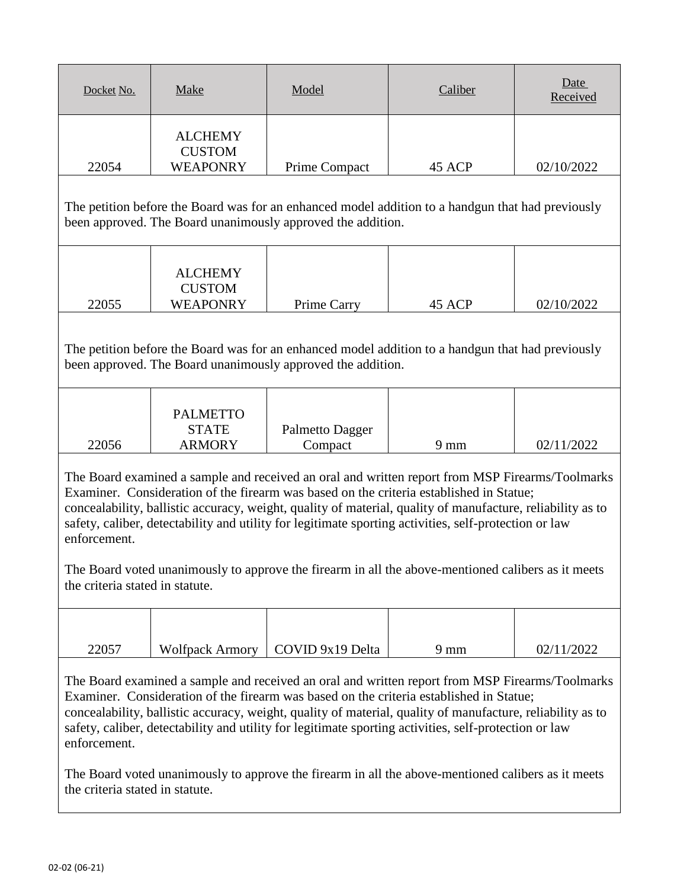| Docket No. | Make                                               | Model                | Caliber | Date<br>Received |
|------------|----------------------------------------------------|----------------------|---------|------------------|
| 22054      | <b>ALCHEMY</b><br><b>CUSTOM</b><br><b>WEAPONRY</b> | <b>Prime Compact</b> | 45 ACP  | 02/10/2022       |

The petition before the Board was for an enhanced model addition to a handgun that had previously been approved. The Board unanimously approved the addition.

|       | ALCHEMY                          |             |        |            |
|-------|----------------------------------|-------------|--------|------------|
| 22055 | <b>CUSTOM</b><br><b>WEAPONRY</b> | Prime Carry | 45 ACP | 02/10/2022 |
|       |                                  |             |        |            |

The petition before the Board was for an enhanced model addition to a handgun that had previously been approved. The Board unanimously approved the addition.

|       | <b>PALMETTO</b> |                 |                |            |
|-------|-----------------|-----------------|----------------|------------|
|       | <b>STATE</b>    | Palmetto Dagger |                |            |
| 22056 | <b>ARMORY</b>   | Compact         | $9 \text{ mm}$ | 02/11/2022 |

The Board examined a sample and received an oral and written report from MSP Firearms/Toolmarks Examiner. Consideration of the firearm was based on the criteria established in Statue; concealability, ballistic accuracy, weight, quality of material, quality of manufacture, reliability as to safety, caliber, detectability and utility for legitimate sporting activities, self-protection or law enforcement.

The Board voted unanimously to approve the firearm in all the above-mentioned calibers as it meets the criteria stated in statute.

| 22057 | Wolfpack Armory   COVID 9x19 Delta | mm | 02/11/2022 |
|-------|------------------------------------|----|------------|

The Board examined a sample and received an oral and written report from MSP Firearms/Toolmarks Examiner. Consideration of the firearm was based on the criteria established in Statue; concealability, ballistic accuracy, weight, quality of material, quality of manufacture, reliability as to safety, caliber, detectability and utility for legitimate sporting activities, self-protection or law enforcement.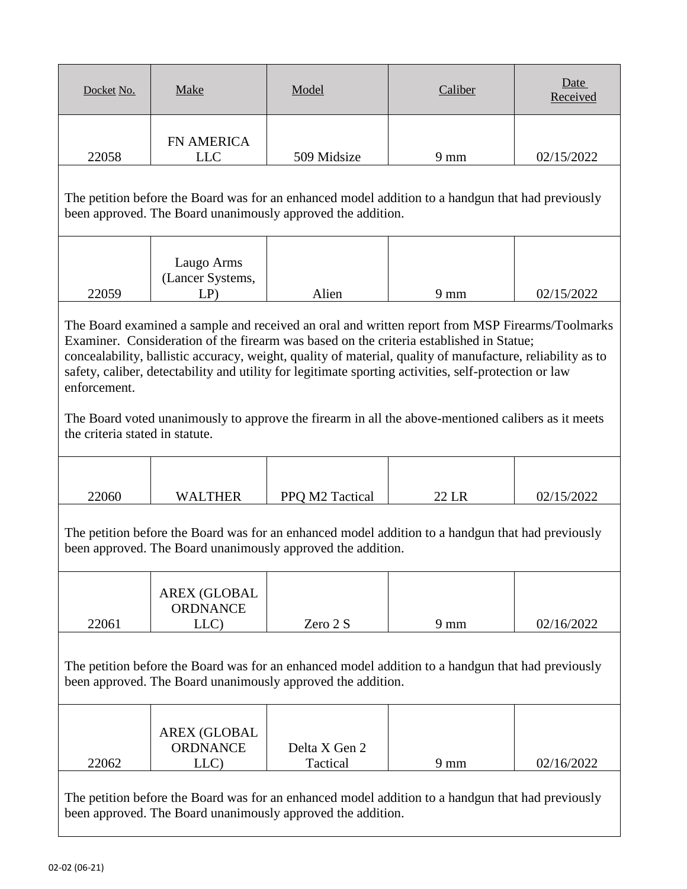| Docket No.                                      | Make                                                                                                                                                                                                                                                                                                                                                                                                                                                                                                                    | Model                                                       | Caliber                                                                                           | Date<br>Received |  |
|-------------------------------------------------|-------------------------------------------------------------------------------------------------------------------------------------------------------------------------------------------------------------------------------------------------------------------------------------------------------------------------------------------------------------------------------------------------------------------------------------------------------------------------------------------------------------------------|-------------------------------------------------------------|---------------------------------------------------------------------------------------------------|------------------|--|
| 22058                                           | <b>FN AMERICA</b><br><b>LLC</b>                                                                                                                                                                                                                                                                                                                                                                                                                                                                                         | 509 Midsize                                                 | $9 \text{ mm}$                                                                                    | 02/15/2022       |  |
|                                                 |                                                                                                                                                                                                                                                                                                                                                                                                                                                                                                                         | been approved. The Board unanimously approved the addition. | The petition before the Board was for an enhanced model addition to a handgun that had previously |                  |  |
| 22059                                           | Laugo Arms<br>(Lancer Systems,<br>$LP$ )                                                                                                                                                                                                                                                                                                                                                                                                                                                                                | Alien                                                       | $9 \text{ mm}$                                                                                    | 02/15/2022       |  |
| enforcement.<br>the criteria stated in statute. | The Board examined a sample and received an oral and written report from MSP Firearms/Toolmarks<br>Examiner. Consideration of the firearm was based on the criteria established in Statue;<br>concealability, ballistic accuracy, weight, quality of material, quality of manufacture, reliability as to<br>safety, caliber, detectability and utility for legitimate sporting activities, self-protection or law<br>The Board voted unanimously to approve the firearm in all the above-mentioned calibers as it meets |                                                             |                                                                                                   |                  |  |
|                                                 |                                                                                                                                                                                                                                                                                                                                                                                                                                                                                                                         |                                                             |                                                                                                   |                  |  |
| 22060                                           | <b>WALTHER</b>                                                                                                                                                                                                                                                                                                                                                                                                                                                                                                          | PPQ M2 Tactical                                             | 22 LR                                                                                             | 02/15/2022       |  |
|                                                 |                                                                                                                                                                                                                                                                                                                                                                                                                                                                                                                         | been approved. The Board unanimously approved the addition. | The petition before the Board was for an enhanced model addition to a handgun that had previously |                  |  |
|                                                 | <b>AREX (GLOBAL</b><br><b>ORDNANCE</b>                                                                                                                                                                                                                                                                                                                                                                                                                                                                                  |                                                             |                                                                                                   |                  |  |
| 22061                                           | LLC)                                                                                                                                                                                                                                                                                                                                                                                                                                                                                                                    | Zero 2 S                                                    | $9 \text{ mm}$                                                                                    | 02/16/2022       |  |
|                                                 | The petition before the Board was for an enhanced model addition to a handgun that had previously<br>been approved. The Board unanimously approved the addition.                                                                                                                                                                                                                                                                                                                                                        |                                                             |                                                                                                   |                  |  |
| 22062                                           | <b>AREX (GLOBAL</b><br><b>ORDNANCE</b><br>LLC)                                                                                                                                                                                                                                                                                                                                                                                                                                                                          | Delta X Gen 2<br>Tactical                                   | $9 \text{ mm}$                                                                                    | 02/16/2022       |  |
|                                                 |                                                                                                                                                                                                                                                                                                                                                                                                                                                                                                                         | been approved. The Board unanimously approved the addition. | The petition before the Board was for an enhanced model addition to a handgun that had previously |                  |  |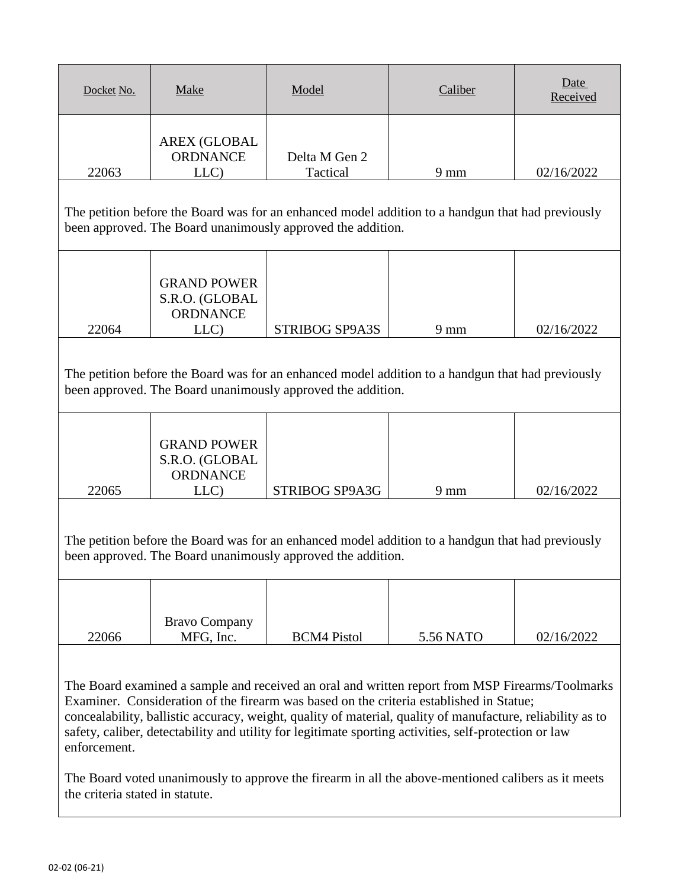| Docket No.                                                                                                                                                                                                                                                                                                                                                                                                                        | Make                                                            | Model                                                       | Caliber                                                                                            | Date<br>Received |
|-----------------------------------------------------------------------------------------------------------------------------------------------------------------------------------------------------------------------------------------------------------------------------------------------------------------------------------------------------------------------------------------------------------------------------------|-----------------------------------------------------------------|-------------------------------------------------------------|----------------------------------------------------------------------------------------------------|------------------|
| 22063                                                                                                                                                                                                                                                                                                                                                                                                                             | <b>AREX (GLOBAL</b><br><b>ORDNANCE</b><br>LLC)                  | Delta M Gen 2<br>Tactical                                   | $9 \text{ mm}$                                                                                     | 02/16/2022       |
|                                                                                                                                                                                                                                                                                                                                                                                                                                   |                                                                 | been approved. The Board unanimously approved the addition. | The petition before the Board was for an enhanced model addition to a handgun that had previously  |                  |
| 22064                                                                                                                                                                                                                                                                                                                                                                                                                             | <b>GRAND POWER</b><br>S.R.O. (GLOBAL<br>ORDNANCE<br>LLC)        | <b>STRIBOG SP9A3S</b>                                       | $9 \text{ mm}$                                                                                     | 02/16/2022       |
| The petition before the Board was for an enhanced model addition to a handgun that had previously<br>been approved. The Board unanimously approved the addition.                                                                                                                                                                                                                                                                  |                                                                 |                                                             |                                                                                                    |                  |
| 22065                                                                                                                                                                                                                                                                                                                                                                                                                             | <b>GRAND POWER</b><br>S.R.O. (GLOBAL<br><b>ORDNANCE</b><br>LLC) | STRIBOG SP9A3G                                              | $9 \text{ mm}$                                                                                     | 02/16/2022       |
|                                                                                                                                                                                                                                                                                                                                                                                                                                   |                                                                 | been approved. The Board unanimously approved the addition. | The petition before the Board was for an enhanced model addition to a handgun that had previously  |                  |
| 22066                                                                                                                                                                                                                                                                                                                                                                                                                             | <b>Bravo Company</b><br>MFG, Inc.                               | <b>BCM4 Pistol</b>                                          | 5.56 NATO                                                                                          | 02/16/2022       |
| The Board examined a sample and received an oral and written report from MSP Firearms/Toolmarks<br>Examiner. Consideration of the firearm was based on the criteria established in Statue;<br>concealability, ballistic accuracy, weight, quality of material, quality of manufacture, reliability as to<br>safety, caliber, detectability and utility for legitimate sporting activities, self-protection or law<br>enforcement. |                                                                 |                                                             |                                                                                                    |                  |
| the criteria stated in statute.                                                                                                                                                                                                                                                                                                                                                                                                   |                                                                 |                                                             | The Board voted unanimously to approve the firearm in all the above-mentioned calibers as it meets |                  |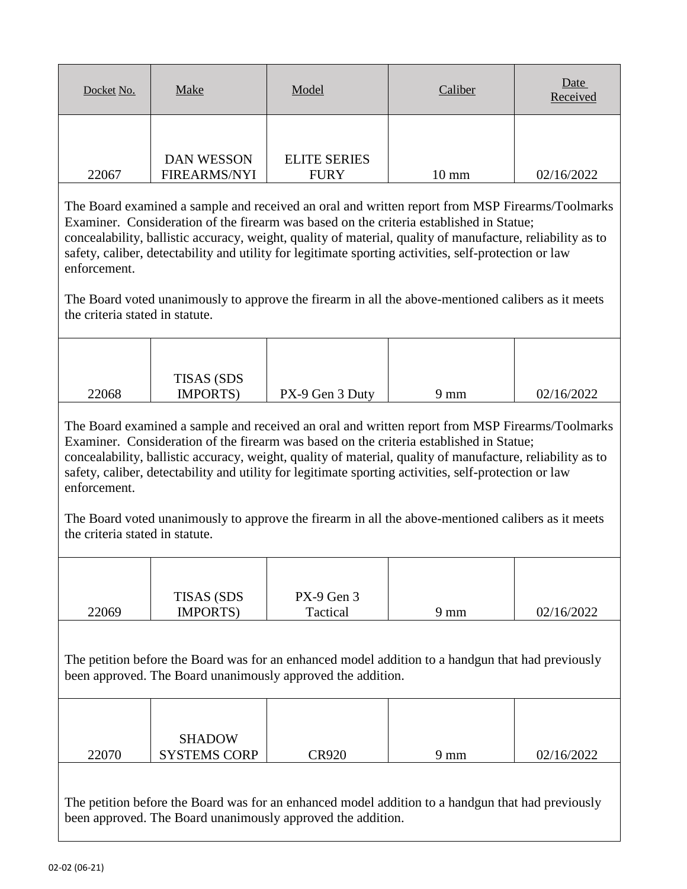| Docket No. | <b>Make</b>                              | Model                              | Caliber         | Date<br>Received |
|------------|------------------------------------------|------------------------------------|-----------------|------------------|
|            |                                          |                                    |                 |                  |
| 22067      | <b>DAN WESSON</b><br><b>FIREARMS/NYI</b> | <b>ELITE SERIES</b><br><b>FURY</b> | $10 \text{ mm}$ | 02/16/2022       |

The Board voted unanimously to approve the firearm in all the above-mentioned calibers as it meets the criteria stated in statute.

|       | <b>TISAS (SDS)</b> |                 |      |            |
|-------|--------------------|-----------------|------|------------|
| 22068 | <b>IMPORTS</b> )   | PX-9 Gen 3 Duty | 9 mm | 02/16/2022 |

The Board examined a sample and received an oral and written report from MSP Firearms/Toolmarks Examiner. Consideration of the firearm was based on the criteria established in Statue; concealability, ballistic accuracy, weight, quality of material, quality of manufacture, reliability as to safety, caliber, detectability and utility for legitimate sporting activities, self-protection or law enforcement.

The Board voted unanimously to approve the firearm in all the above-mentioned calibers as it meets the criteria stated in statute.

|       | <b>TISAS (SDS)</b> | PX-9 Gen 3 |      |            |
|-------|--------------------|------------|------|------------|
| 22069 | <b>IMPORTS</b> )   | Tactical   | 9 mm | 02/16/2022 |

The petition before the Board was for an enhanced model addition to a handgun that had previously been approved. The Board unanimously approved the addition.

| 22070 | <b>SHADOW</b><br><b>SYSTEMS CORP</b> | $\cap$ R920 | 9 mm | 02/16/2022 |
|-------|--------------------------------------|-------------|------|------------|
|       |                                      |             |      |            |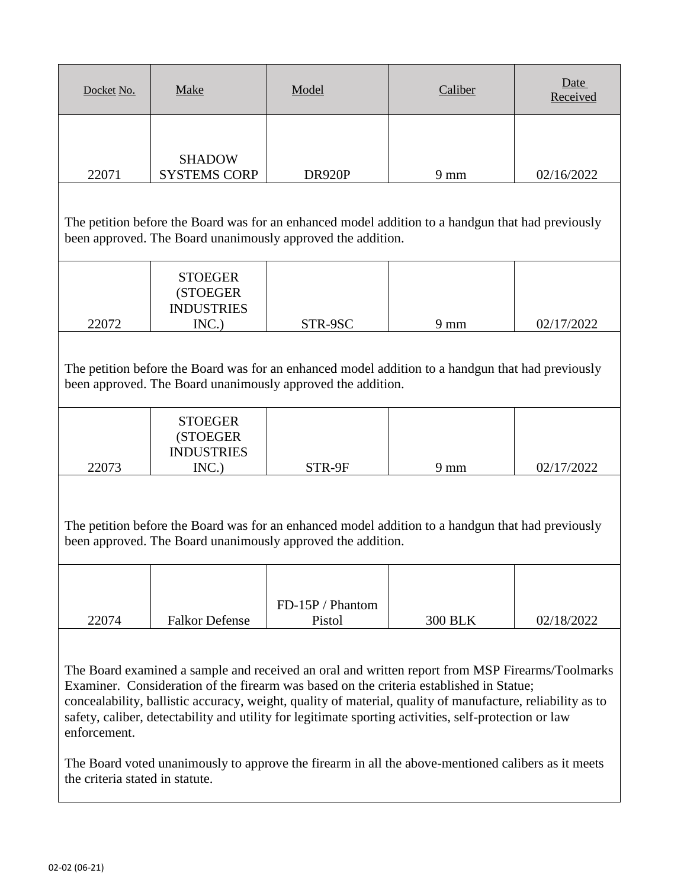| Docket No.                                                                                                                                                                                                                                                                                                                                                                                                                                                                                                                                                                 | <b>Make</b>                                               | Model                      | Caliber        | Date<br>Received |  |  |  |
|----------------------------------------------------------------------------------------------------------------------------------------------------------------------------------------------------------------------------------------------------------------------------------------------------------------------------------------------------------------------------------------------------------------------------------------------------------------------------------------------------------------------------------------------------------------------------|-----------------------------------------------------------|----------------------------|----------------|------------------|--|--|--|
| 22071                                                                                                                                                                                                                                                                                                                                                                                                                                                                                                                                                                      | <b>SHADOW</b><br><b>SYSTEMS CORP</b>                      | DR920P                     | $9 \text{ mm}$ | 02/16/2022       |  |  |  |
| The petition before the Board was for an enhanced model addition to a handgun that had previously<br>been approved. The Board unanimously approved the addition.                                                                                                                                                                                                                                                                                                                                                                                                           |                                                           |                            |                |                  |  |  |  |
| 22072                                                                                                                                                                                                                                                                                                                                                                                                                                                                                                                                                                      | <b>STOEGER</b><br>(STOEGER)<br><b>INDUSTRIES</b><br>INC.) | STR-9SC                    | $9 \text{ mm}$ | 02/17/2022       |  |  |  |
| The petition before the Board was for an enhanced model addition to a handgun that had previously<br>been approved. The Board unanimously approved the addition.                                                                                                                                                                                                                                                                                                                                                                                                           |                                                           |                            |                |                  |  |  |  |
| 22073                                                                                                                                                                                                                                                                                                                                                                                                                                                                                                                                                                      | <b>STOEGER</b><br>(STOEGER<br><b>INDUSTRIES</b><br>INC.)  | STR-9F                     | $9 \text{ mm}$ | 02/17/2022       |  |  |  |
| The petition before the Board was for an enhanced model addition to a handgun that had previously<br>been approved. The Board unanimously approved the addition.                                                                                                                                                                                                                                                                                                                                                                                                           |                                                           |                            |                |                  |  |  |  |
| 22074                                                                                                                                                                                                                                                                                                                                                                                                                                                                                                                                                                      | <b>Falkor Defense</b>                                     | FD-15P / Phantom<br>Pistol | <b>300 BLK</b> | 02/18/2022       |  |  |  |
| The Board examined a sample and received an oral and written report from MSP Firearms/Toolmarks<br>Examiner. Consideration of the firearm was based on the criteria established in Statue;<br>concealability, ballistic accuracy, weight, quality of material, quality of manufacture, reliability as to<br>safety, caliber, detectability and utility for legitimate sporting activities, self-protection or law<br>enforcement.<br>The Board voted unanimously to approve the firearm in all the above-mentioned calibers as it meets<br>the criteria stated in statute. |                                                           |                            |                |                  |  |  |  |